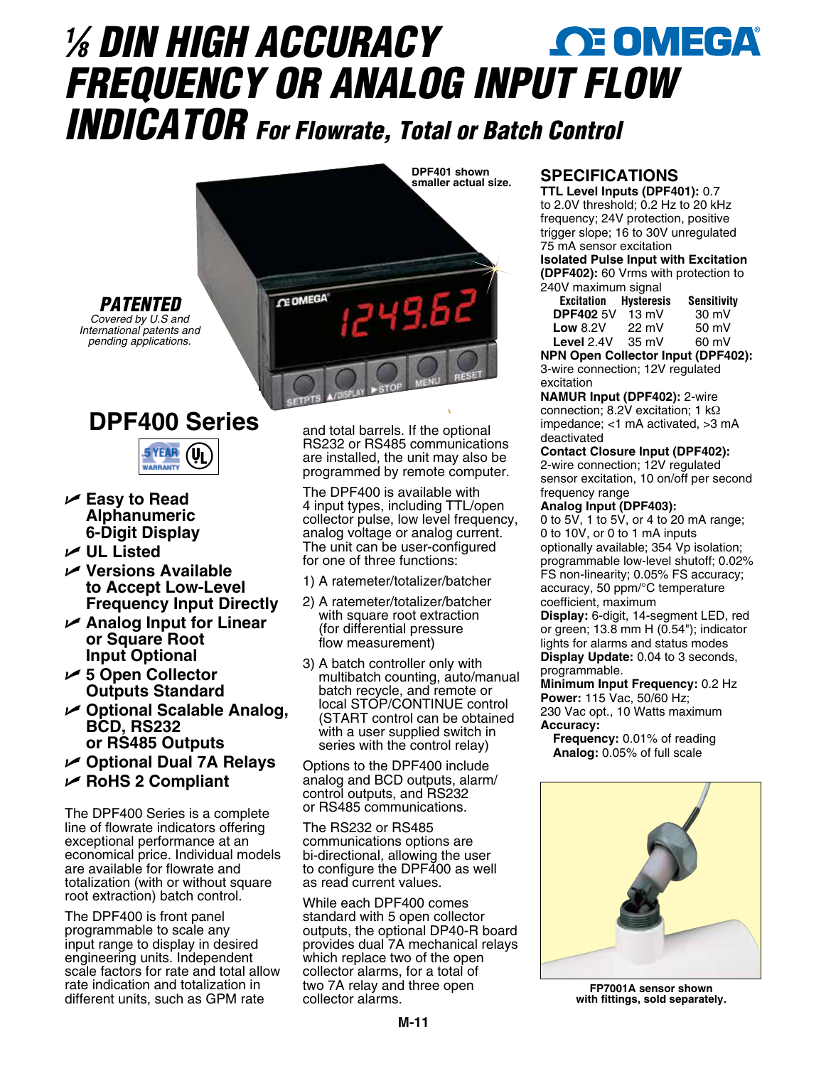# *1 ⁄8 DIN HIGH ACCURACY FREQUENCY OR ANALOG INPUT FLOW INDICATOR For Flowrate, Total or Batch Control*



## **DPF400 Series**



U **Easy to Read Alphanumeric 6-Digit Display**

*PATENTED*

- U **UL Listed**
- U **Versions Available to Accept Low-Level Frequency Input Directly**
- U **Analog Input for Linear or Square Root Input Optional**
- U **5 Open Collector Outputs Standard**
- U **Optional Scalable Analog, BCD, RS232 or RS485 Outputs**
- U **Optional Dual 7A Relays**
- U **RoHS 2 Compliant**

The DPF400 Series is a complete line of flowrate indicators offering exceptional performance at an economical price. Individual models are available for flowrate and totalization (with or without square root extraction) batch control.

The DPF400 is front panel programmable to scale any input range to display in desired engineering units. Independent scale factors for rate and total allow rate indication and totalization in different units, such as GPM rate

and total barrels. If the optional RS232 or RS485 communications are installed, the unit may also be programmed by remote computer.

The DPF400 is available with 4 input types, including TTL/open collector pulse, low level frequency, analog voltage or analog current. The unit can be user-configured for one of three functions:

- 1) A ratemeter/totalizer/batcher
- 2) A ratemeter/totalizer/batcher with square root extraction (for differential pressure flow measurement)
- 3) A batch controller only with multibatch counting, auto/manual batch recycle, and remote or local STOP/CONTINUE control (START control can be obtained with a user supplied switch in series with the control relay)

Options to the DPF400 include analog and BCD outputs, alarm/ control outputs, and RS232 or RS485 communications.

The RS232 or RS485 communications options are bi-directional, allowing the user to configure the DPF400 as well as read current values.

While each DPF400 comes standard with 5 open collector outputs, the optional DP40-R board provides dual 7A mechanical relays which replace two of the open collector alarms, for a total of two 7A relay and three open collector alarms.

#### **SPECIFICATIONS**

**TTL Level Inputs (DPF401):** 0.7 to 2.0V threshold; 0.2 Hz to 20 kHz frequency; 24V protection, positive trigger slope; 16 to 30V unregulated 75 mA sensor excitation **Isolated Pulse Input with Excitation** 

**(DPF402):** 60 Vrms with protection to 240V maximum signal

| <b>Excitation</b> | <b>Hysteresis</b> | <b>Sensitivity</b> |
|-------------------|-------------------|--------------------|
| <b>DPF402 5V</b>  | $13 \text{ mV}$   | 30 mV              |
| Low $8.2V$        | $22 \text{ mV}$   | 50 mV              |
| Level 2.4V        | $35 \text{ mV}$   | 60 mV              |
|                   |                   |                    |

**NPN Open Collector Input (DPF402):**  3-wire connection; 12V regulated excitation

**NAMUR Input (DPF402):** 2-wire connection; 8.2V excitation; 1 kΩ impedance; <1 mA activated, >3 mA deactivated

**Contact Closure Input (DPF402):**  2-wire connection; 12V regulated sensor excitation, 10 on/off per second frequency range

#### **Analog Input (DPF403):**

0 to 5V, 1 to 5V, or 4 to 20 mA range; 0 to 10V, or 0 to 1 mA inputs optionally available; 354 Vp isolation; programmable low-level shutoff; 0.02% FS non-linearity; 0.05% FS accuracy; accuracy, 50 ppm/°C temperature coefficient, maximum

**Display:** 6-digit, 14-segment LED, red or green; 13.8 mm H (0.54"); indicator lights for alarms and status modes **Display Update:** 0.04 to 3 seconds,

programmable.

**Minimum Input Frequency:** 0.2 Hz **Power:** 115 Vac, 50/60 Hz; 230 Vac opt., 10 Watts maximum **Accuracy:**

**Frequency:** 0.01% of reading **Analog:** 0.05% of full scale



**FP7001A sensor shown with fittings, sold separately.**